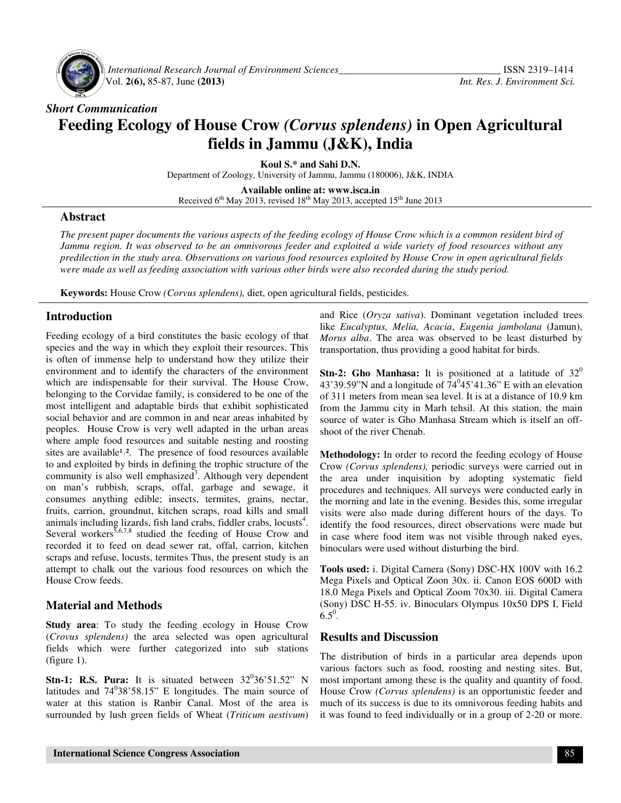

 *International Research Journal of Environment Sciences\_\_\_\_\_\_\_\_\_\_\_\_\_\_\_\_\_\_\_\_\_\_\_\_\_\_\_\_\_\_\_\_* ISSN 2319–1414 Vol. **2(6),** 85-87, June **(2013)** *Int. Res. J. Environment Sci.*

# *Short Communication*  **Feeding Ecology of House Crow** *(Corvus splendens)* **in Open Agricultural fields in Jammu (J&K), India**

**Koul S.\* and Sahi D.N.** 

Department of Zoology, University of Jammu, Jammu (180006), J&K, INDIA

**Available online at: www.isca.in**  Received  $6<sup>th</sup>$  May 2013, revised 18<sup>th</sup> May 2013, accepted 15<sup>th</sup> June 2013

#### **Abstract**

*The present paper documents the various aspects of the feeding ecology of House Crow which is a common resident bird of Jammu region. It was observed to be an omnivorous feeder and exploited a wide variety of food resources without any predilection in the study area. Observations on various food resources exploited by House Crow in open agricultural fields were made as well as feeding association with various other birds were also recorded during the study period.* 

**Keywords:** House Crow *(Corvus splendens),* diet, open agricultural fields, pesticides.

#### **Introduction**

Feeding ecology of a bird constitutes the basic ecology of that species and the way in which they exploit their resources. This is often of immense help to understand how they utilize their environment and to identify the characters of the environment which are indispensable for their survival. The House Crow, belonging to the Corvidae family, is considered to be one of the most intelligent and adaptable birds that exhibit sophisticated social behavior and are common in and near areas inhabited by peoples. House Crow is very well adapted in the urban areas where ample food resources and suitable nesting and roosting sites are available<sup>1,2</sup>. The presence of food resources available to and exploited by birds in defining the trophic structure of the community is also well emphasized<sup>3</sup>. Although very dependent on man's rubbish, scraps, offal, garbage and sewage, it consumes anything edible; insects, termites, grains, nectar, fruits, carrion, groundnut, kitchen scraps, road kills and small animals including lizards, fish land crabs, fiddler crabs, locusts<sup>4</sup>. Several workers $5,6,7,8$  studied the feeding of House Crow and recorded it to feed on dead sewer rat, offal, carrion, kitchen scraps and refuse, locusts, termites Thus, the present study is an attempt to chalk out the various food resources on which the House Crow feeds.

## **Material and Methods**

**Study area**: To study the feeding ecology in House Crow (*Crovus splendens)* the area selected was open agricultural fields which were further categorized into sub stations (figure 1).

**Stn-1: R.S. Pura:** It is situated between  $32^036'51.52''$  N latitudes and  $74^038'58.15''$  E longitudes. The main source of water at this station is Ranbir Canal. Most of the area is surrounded by lush green fields of Wheat (*Triticum aestivum*)

and Rice (*Oryza sativa*). Dominant vegetation included trees like *Eucalyptus, Melia, Acacia*, *Eugenia jambolana* (Jamun), *Morus alba*. The area was observed to be least disturbed by transportation, thus providing a good habitat for birds.

**Stn-2: Gho Manhasa:** It is positioned at a latitude of 32<sup>0</sup> 43'39.59"N and a longitude of  $74^045'41.36"$  E with an elevation of 311 meters from mean sea level. It is at a distance of 10.9 km from the Jammu city in Marh tehsil. At this station, the main source of water is Gho Manhasa Stream which is itself an offshoot of the river Chenab.

**Methodology:** In order to record the feeding ecology of House Crow *(Corvus splendens),* periodic surveys were carried out in the area under inquisition by adopting systematic field procedures and techniques. All surveys were conducted early in the morning and late in the evening. Besides this, some irregular visits were also made during different hours of the days. To identify the food resources, direct observations were made but in case where food item was not visible through naked eyes, binoculars were used without disturbing the bird.

**Tools used:** i. Digital Camera (Sony) DSC-HX 100V with 16.2 Mega Pixels and Optical Zoon 30x. ii. Canon EOS 600D with 18.0 Mega Pixels and Optical Zoom 70x30. iii. Digital Camera (Sony) DSC H-55. iv. Binoculars Olympus 10x50 DPS I, Field  $6.5^0$ .

#### **Results and Discussion**

The distribution of birds in a particular area depends upon various factors such as food, roosting and nesting sites. But, most important among these is the quality and quantity of food. House Crow *(Corvus splendens)* is an opportunistic feeder and much of its success is due to its omnivorous feeding habits and it was found to feed individually or in a group of 2-20 or more.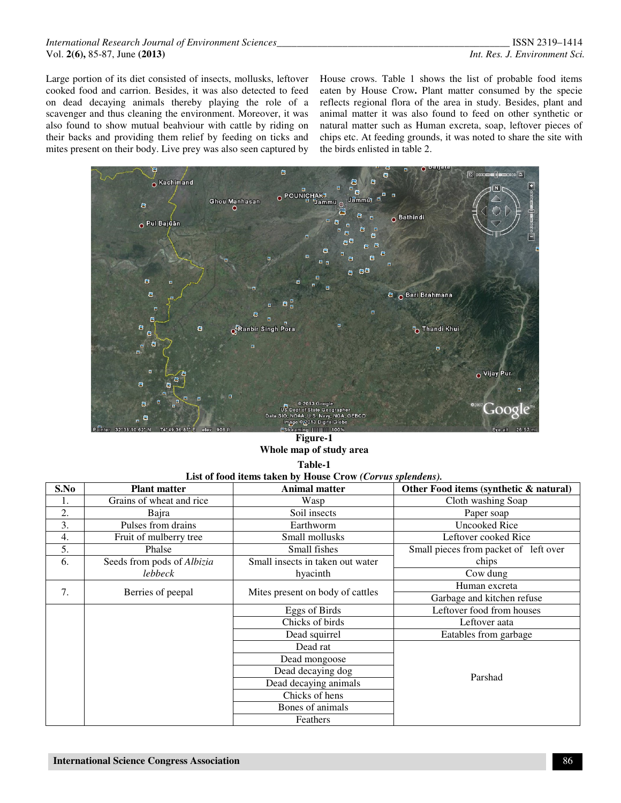#### *International Research Journal of Environment Sciences\_\_\_\_\_\_\_\_\_\_\_\_\_\_\_\_\_\_\_\_\_\_\_\_\_\_\_\_\_\_\_\_\_\_\_\_\_\_\_\_\_\_\_\_\_\_* ISSN 2319–1414 Vol. **2(6),** 85-87, June **(2013)** *Int. Res. J. Environment Sci.*

Large portion of its diet consisted of insects, mollusks, leftover cooked food and carrion. Besides, it was also detected to feed on dead decaying animals thereby playing the role of a scavenger and thus cleaning the environment. Moreover, it was also found to show mutual beahviour with cattle by riding on their backs and providing them relief by feeding on ticks and mites present on their body. Live prey was also seen captured by

House crows. Table 1 shows the list of probable food items eaten by House Crow**.** Plant matter consumed by the specie reflects regional flora of the area in study. Besides, plant and animal matter it was also found to feed on other synthetic or natural matter such as Human excreta, soap, leftover pieces of chips etc. At feeding grounds, it was noted to share the site with the birds enlisted in table 2.



#### **Figure-1 Whole map of study area Table-1**

| 1 apie-1                                                   |  |  |  |
|------------------------------------------------------------|--|--|--|
| List of food items taken by House Crow (Corvus splendens). |  |  |  |

| List of food hems taken by frouse Crow (Corrus spichachs). |                            |                                  |                                        |  |
|------------------------------------------------------------|----------------------------|----------------------------------|----------------------------------------|--|
| S.No                                                       | <b>Plant matter</b>        | <b>Animal matter</b>             | Other Food items (synthetic & natural) |  |
| 1.                                                         | Grains of wheat and rice   | Wasp                             | Cloth washing Soap                     |  |
| 2.                                                         | Bajra                      | Soil insects                     | Paper soap                             |  |
| 3.                                                         | Pulses from drains         | Earthworm                        | <b>Uncooked Rice</b>                   |  |
| 4.                                                         | Fruit of mulberry tree     | Small mollusks                   | Leftover cooked Rice                   |  |
| 5.                                                         | Phalse                     | Small fishes                     | Small pieces from packet of left over  |  |
| 6.                                                         | Seeds from pods of Albizia | Small insects in taken out water | chips                                  |  |
|                                                            | lebbeck                    | hyacinth                         | Cow dung                               |  |
| 7.                                                         | Berries of peepal          | Mites present on body of cattles | Human excreta                          |  |
|                                                            |                            |                                  | Garbage and kitchen refuse             |  |
|                                                            |                            | Eggs of Birds                    | Leftover food from houses              |  |
|                                                            |                            | Chicks of birds                  | Leftover aata                          |  |
|                                                            |                            | Dead squirrel                    | Eatables from garbage                  |  |
|                                                            |                            | Dead rat                         |                                        |  |
|                                                            |                            | Dead mongoose                    |                                        |  |
|                                                            |                            | Dead decaying dog                | Parshad                                |  |
|                                                            |                            | Dead decaying animals            |                                        |  |
|                                                            |                            | Chicks of hens                   |                                        |  |
|                                                            |                            | Bones of animals                 |                                        |  |
|                                                            |                            | Feathers                         |                                        |  |